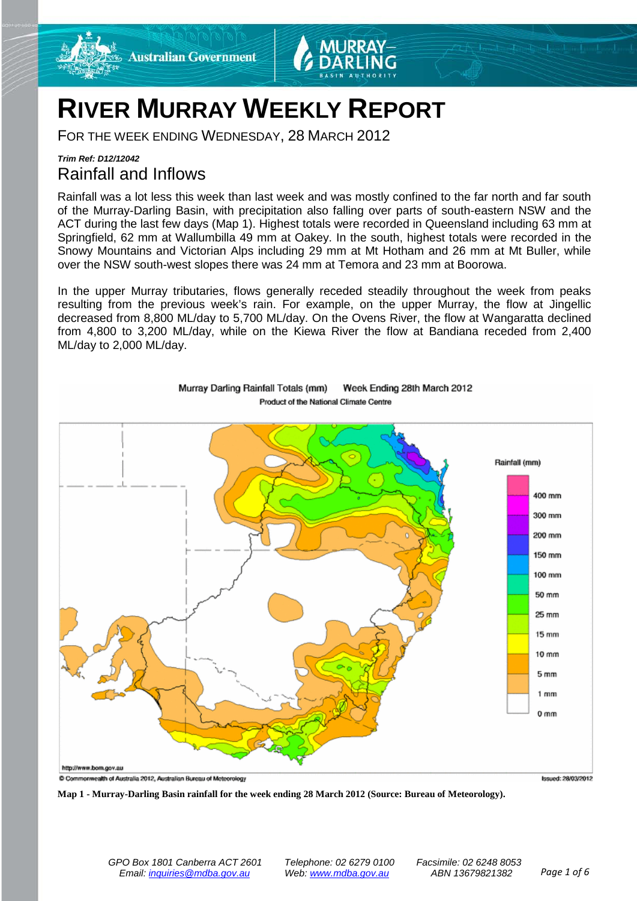

# **RIVER MURRAY WEEKLY REPORT**

FOR THE WEEK ENDING WEDNESDAY, 28 MARCH 2012

## *Trim Ref: D12/12042* Rainfall and Inflows

Rainfall was a lot less this week than last week and was mostly confined to the far north and far south of the Murray-Darling Basin, with precipitation also falling over parts of south-eastern NSW and the ACT during the last few days (Map 1). Highest totals were recorded in Queensland including 63 mm at Springfield, 62 mm at Wallumbilla 49 mm at Oakey. In the south, highest totals were recorded in the Snowy Mountains and Victorian Alps including 29 mm at Mt Hotham and 26 mm at Mt Buller, while over the NSW south-west slopes there was 24 mm at Temora and 23 mm at Boorowa.

In the upper Murray tributaries, flows generally receded steadily throughout the week from peaks resulting from the previous week's rain. For example, on the upper Murray, the flow at Jingellic decreased from 8,800 ML/day to 5,700 ML/day. On the Ovens River, the flow at Wangaratta declined from 4,800 to 3,200 ML/day, while on the Kiewa River the flow at Bandiana receded from 2,400 ML/day to 2,000 ML/day.



Murray Darling Rainfall Totals (mm) Week Ending 28th March 2012 Product of the National Climate Centre

**Map 1 - Murray-Darling Basin rainfall for the week ending 28 March 2012 (Source: Bureau of Meteorology).**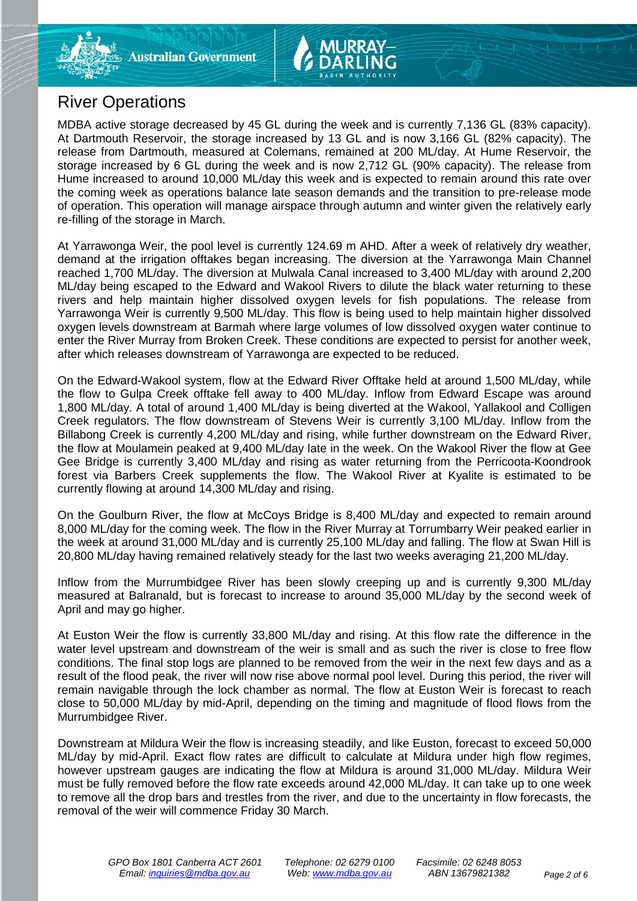# River Operations

MDBA active storage decreased by 45 GL during the week and is currently 7,136 GL (83% capacity). At Dartmouth Reservoir, the storage increased by 13 GL and is now 3,166 GL (82% capacity). The release from Dartmouth, measured at Colemans, remained at 200 ML/day. At Hume Reservoir, the storage increased by 6 GL during the week and is now 2,712 GL (90% capacity). The release from Hume increased to around 10,000 ML/day this week and is expected to remain around this rate over the coming week as operations balance late season demands and the transition to pre-release mode of operation. This operation will manage airspace through autumn and winter given the relatively early re-filling of the storage in March.

At Yarrawonga Weir, the pool level is currently 124.69 m AHD. After a week of relatively dry weather, demand at the irrigation offtakes began increasing. The diversion at the Yarrawonga Main Channel reached 1,700 ML/day. The diversion at Mulwala Canal increased to 3,400 ML/day with around 2,200 ML/day being escaped to the Edward and Wakool Rivers to dilute the black water returning to these rivers and help maintain higher dissolved oxygen levels for fish populations. The release from Yarrawonga Weir is currently 9,500 ML/day. This flow is being used to help maintain higher dissolved oxygen levels downstream at Barmah where large volumes of low dissolved oxygen water continue to enter the River Murray from Broken Creek. These conditions are expected to persist for another week, after which releases downstream of Yarrawonga are expected to be reduced.

On the Edward-Wakool system, flow at the Edward River Offtake held at around 1,500 ML/day, while the flow to Gulpa Creek offtake fell away to 400 ML/day. Inflow from Edward Escape was around 1,800 ML/day. A total of around 1,400 ML/day is being diverted at the Wakool, Yallakool and Colligen Creek regulators. The flow downstream of Stevens Weir is currently 3,100 ML/day. Inflow from the Billabong Creek is currently 4,200 ML/day and rising, while further downstream on the Edward River, the flow at Moulamein peaked at 9,400 ML/day late in the week. On the Wakool River the flow at Gee Gee Bridge is currently 3,400 ML/day and rising as water returning from the Perricoota-Koondrook forest via Barbers Creek supplements the flow. The Wakool River at Kyalite is estimated to be currently flowing at around 14,300 ML/day and rising.

On the Goulburn River, the flow at McCoys Bridge is 8,400 ML/day and expected to remain around 8,000 ML/day for the coming week. The flow in the River Murray at Torrumbarry Weir peaked earlier in the week at around 31,000 ML/day and is currently 25,100 ML/day and falling. The flow at Swan Hill is 20,800 ML/day having remained relatively steady for the last two weeks averaging 21,200 ML/day.

Inflow from the Murrumbidgee River has been slowly creeping up and is currently 9,300 ML/day measured at Balranald, but is forecast to increase to around 35,000 ML/day by the second week of April and may go higher.

At Euston Weir the flow is currently 33,800 ML/day and rising. At this flow rate the difference in the water level upstream and downstream of the weir is small and as such the river is close to free flow conditions. The final stop logs are planned to be removed from the weir in the next few days and as a result of the flood peak, the river will now rise above normal pool level. During this period, the river will remain navigable through the lock chamber as normal. The flow at Euston Weir is forecast to reach close to 50,000 ML/day by mid-April, depending on the timing and magnitude of flood flows from the Murrumbidgee River.

Downstream at Mildura Weir the flow is increasing steadily, and like Euston, forecast to exceed 50,000 ML/day by mid-April. Exact flow rates are difficult to calculate at Mildura under high flow regimes, however upstream gauges are indicating the flow at Mildura is around 31,000 ML/day. Mildura Weir must be fully removed before the flow rate exceeds around 42,000 ML/day. It can take up to one week to remove all the drop bars and trestles from the river, and due to the uncertainty in flow forecasts, the removal of the weir will commence Friday 30 March.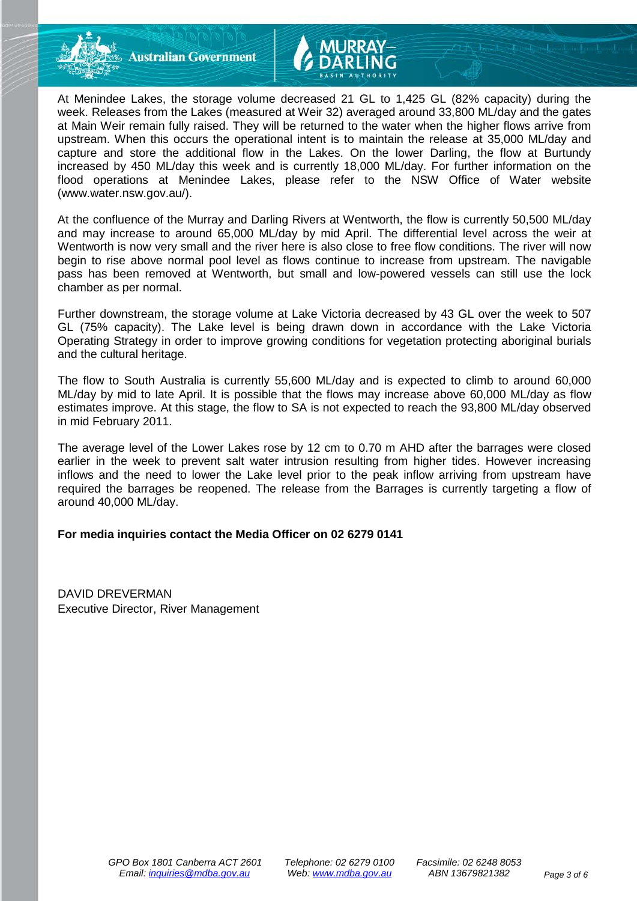

**Australian Government** 

At Menindee Lakes, the storage volume decreased 21 GL to 1,425 GL (82% capacity) during the week. Releases from the Lakes (measured at Weir 32) averaged around 33,800 ML/day and the gates at Main Weir remain fully raised. They will be returned to the water when the higher flows arrive from upstream. When this occurs the operational intent is to maintain the release at 35,000 ML/day and capture and store the additional flow in the Lakes. On the lower Darling, the flow at Burtundy increased by 450 ML/day this week and is currently 18,000 ML/day. For further information on the flood operations at Menindee Lakes, please refer to the NSW Office of Water website (www.water.nsw.gov.au/).

At the confluence of the Murray and Darling Rivers at Wentworth, the flow is currently 50,500 ML/day and may increase to around 65,000 ML/day by mid April. The differential level across the weir at Wentworth is now very small and the river here is also close to free flow conditions. The river will now begin to rise above normal pool level as flows continue to increase from upstream. The navigable pass has been removed at Wentworth, but small and low-powered vessels can still use the lock chamber as per normal.

Further downstream, the storage volume at Lake Victoria decreased by 43 GL over the week to 507 GL (75% capacity). The Lake level is being drawn down in accordance with the Lake Victoria Operating Strategy in order to improve growing conditions for vegetation protecting aboriginal burials and the cultural heritage.

The flow to South Australia is currently 55,600 ML/day and is expected to climb to around 60,000 ML/day by mid to late April. It is possible that the flows may increase above 60,000 ML/day as flow estimates improve. At this stage, the flow to SA is not expected to reach the 93,800 ML/day observed in mid February 2011.

The average level of the Lower Lakes rose by 12 cm to 0.70 m AHD after the barrages were closed earlier in the week to prevent salt water intrusion resulting from higher tides. However increasing inflows and the need to lower the Lake level prior to the peak inflow arriving from upstream have required the barrages be reopened. The release from the Barrages is currently targeting a flow of around 40,000 ML/day.

### **For media inquiries contact the Media Officer on 02 6279 0141**

DAVID DREVERMAN Executive Director, River Management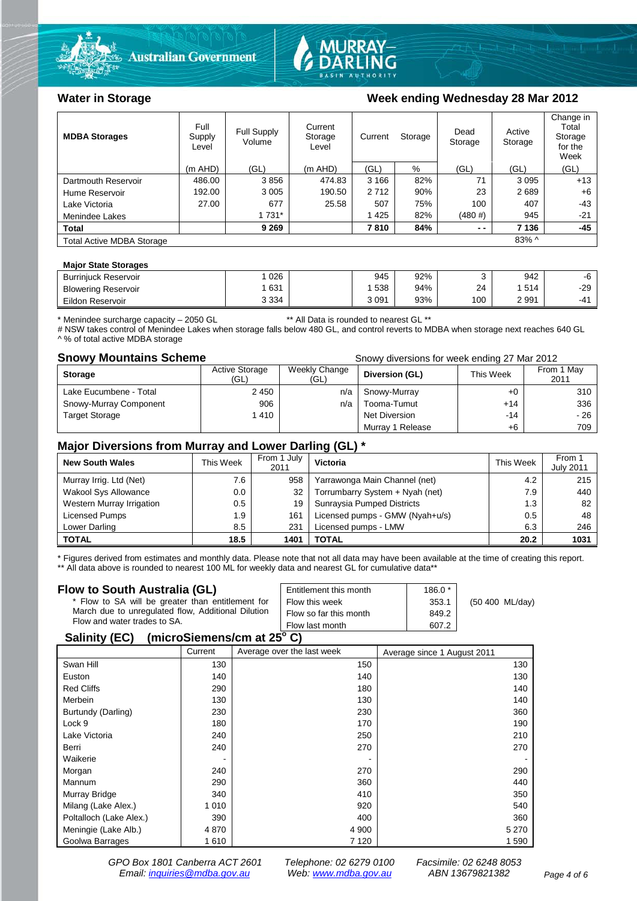



### Water in Storage Week ending Wednesday 28 Mar 2012

| <b>MDBA Storages</b>             | Full<br>Supply<br>Level | Full Supply<br>Volume | Current<br>Storage<br>Level | Current | Storage | Dead<br>Storage | Active<br>Storage | Change in<br>Total<br>Storage<br>for the<br>Week |
|----------------------------------|-------------------------|-----------------------|-----------------------------|---------|---------|-----------------|-------------------|--------------------------------------------------|
|                                  | $(m$ AHD)               | (GL)                  | $(m$ AHD)                   | (GL)    | %       | (GL)            | (GL)              | (GL)                                             |
| Dartmouth Reservoir              | 486.00                  | 3856                  | 474.83                      | 3 1 6 6 | 82%     | 71              | 3095              | $+13$                                            |
| Hume Reservoir                   | 192.00                  | 3 0 0 5               | 190.50                      | 2712    | 90%     | 23              | 2689              | $+6$                                             |
| Lake Victoria                    | 27.00                   | 677                   | 25.58                       | 507     | 75%     | 100             | 407               | $-43$                                            |
| Menindee Lakes                   |                         | 1 7 3 1 *             |                             | 1425    | 82%     | (480#)          | 945               | $-21$                                            |
| <b>Total</b>                     |                         | 9 2 6 9               |                             | 7810    | 84%     | $ -$            | 7 1 3 6           | $-45$                                            |
| <b>Total Active MDBA Storage</b> |                         |                       |                             |         |         |                 | $83\%$ ^          |                                                  |

#### **Major State Storages**

| <b>Burriniuck Reservoir</b> | 026     | 945     | 92% |     | 942  | -0         |
|-----------------------------|---------|---------|-----|-----|------|------------|
| <b>Blowering Reservoir</b>  | 631     | 538     | 94% | 24  | 514  | $-29$      |
| Eildon<br>r Reservoir       | 3 3 3 4 | 3 0 9 1 | 93% | 100 | 2991 | $-4^\circ$ |

\* Menindee surcharge capacity – 2050 GL \*\* All Data is rounded to nearest GL \*\*

# NSW takes control of Menindee Lakes when storage falls below 480 GL, and control reverts to MDBA when storage next reaches 640 GL ^ % of total active MDBA storage

**Snowy Mountains Scheme Snowy diversions for week ending 27 Mar 2012** 

| <b>Storage</b>         | <b>Active Storage</b><br>(GL) | Weekly Change<br>(GL) | Diversion (GL)   | This Week | From 1 May<br>2011 |
|------------------------|-------------------------------|-----------------------|------------------|-----------|--------------------|
| Lake Eucumbene - Total | 2 4 5 0                       | n/a                   | Snowy-Murray     | $+0$      | 310                |
| Snowy-Murray Component | 906                           | n/a                   | Tooma-Tumut      | $+14$     | 336                |
| <b>Target Storage</b>  | 1410                          |                       | Net Diversion    | -14       | - 26               |
|                        |                               |                       | Murray 1 Release | +6        | 709                |

#### **Major Diversions from Murray and Lower Darling (GL) \***

| <b>New South Wales</b>    | This Week | From 1 July<br>2011 | Victoria                        | <b>This Week</b> | From 1<br><b>July 2011</b> |
|---------------------------|-----------|---------------------|---------------------------------|------------------|----------------------------|
| Murray Irrig. Ltd (Net)   | 7.6       | 958                 | Yarrawonga Main Channel (net)   | 4.2              | 215                        |
| Wakool Sys Allowance      | 0.0       | 32                  | Torrumbarry System + Nyah (net) | 7.9              | 440                        |
| Western Murray Irrigation | 0.5       | 19                  | Sunraysia Pumped Districts      | 1.3              | 82                         |
| Licensed Pumps            | 1.9       | 161                 | Licensed pumps - GMW (Nyah+u/s) | 0.5              | 48                         |
| Lower Darling             | 8.5       | 231                 | Licensed pumps - LMW            | 6.3              | 246                        |
| <b>TOTAL</b>              | 18.5      | 1401                | TOTAL                           | 20.2             | 1031                       |

\* Figures derived from estimates and monthly data. Please note that not all data may have been available at the time of creating this report. \*\* All data above is rounded to nearest 100 ML for weekly data and nearest GL for cumulative data\*\*

#### **Flow to South Australia (GL)**

| Flow to South Australia (GL)<br>* Flow to SA will be greater than entitlement for<br>March due to unregulated flow, Additional Dilution | Entitlement this month<br>Flow this week<br>Flow so far this month | $186.0*$<br>353.1<br>849.2 | (50 400 ML/day) |  |  |  |
|-----------------------------------------------------------------------------------------------------------------------------------------|--------------------------------------------------------------------|----------------------------|-----------------|--|--|--|
| Flow and water trades to SA.                                                                                                            | Flow last month                                                    | 607.2                      |                 |  |  |  |
| $A - B - C - C - C$                                                                                                                     |                                                                    |                            |                 |  |  |  |

#### **Salinity (EC) (microSiemens/cm at 25o C)**

|                         | Current | Average over the last week | Average since 1 August 2011 |
|-------------------------|---------|----------------------------|-----------------------------|
| Swan Hill               | 130     | 150                        | 130                         |
| Euston                  | 140     | 140                        | 130                         |
| <b>Red Cliffs</b>       | 290     | 180                        | 140                         |
| Merbein                 | 130     | 130                        | 140                         |
| Burtundy (Darling)      | 230     | 230                        | 360                         |
| Lock 9                  | 180     | 170                        | 190                         |
| Lake Victoria           | 240     | 250                        | 210                         |
| Berri                   | 240     | 270                        | 270                         |
| Waikerie                |         |                            |                             |
| Morgan                  | 240     | 270                        | 290                         |
| Mannum                  | 290     | 360                        | 440                         |
| Murray Bridge           | 340     | 410                        | 350                         |
| Milang (Lake Alex.)     | 1 0 1 0 | 920                        | 540                         |
| Poltalloch (Lake Alex.) | 390     | 400                        | 360                         |
| Meningie (Lake Alb.)    | 4 8 7 0 | 4 9 0 0                    | 5 2 7 0                     |
| Goolwa Barrages         | 1610    | 7 1 2 0                    | 1 590                       |

*GPO Box 1801 Canberra ACT 2601 Telephone: 02 6279 0100 Facsimile: 02 6248 8053 Email: [inquiries@mdba.gov.au](mailto:inquiries@mdba.gov.au) Web: [www.mdba.gov.au](http://www.mdba.gov.au/) ABN 13679821382 Page 4 of 6*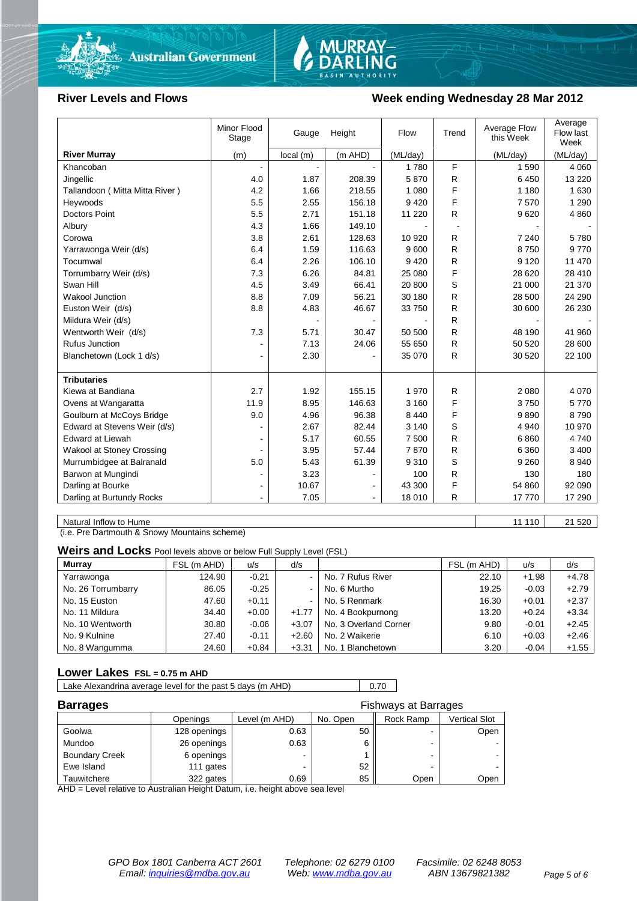



#### River Levels and Flows **Week ending Wednesday 28 Mar 2012**

|                                | Minor Flood<br>Stage | Gauge    | Height  | Flow     | Trend | Average Flow<br>this Week | Average<br>Flow last<br>Week |
|--------------------------------|----------------------|----------|---------|----------|-------|---------------------------|------------------------------|
| <b>River Murray</b>            | (m)                  | local(m) | (m AHD) | (ML/day) |       | (ML/day)                  | (ML/day)                     |
| Khancoban                      | $\blacksquare$       |          |         | 1780     | F     | 1 5 9 0                   | 4 0 6 0                      |
| Jingellic                      | 4.0                  | 1.87     | 208.39  | 5870     | R     | 6450                      | 13 2 20                      |
| Tallandoon (Mitta Mitta River) | 4.2                  | 1.66     | 218.55  | 1 0 8 0  | F     | 1 1 8 0                   | 1 6 3 0                      |
| Heywoods                       | 5.5                  | 2.55     | 156.18  | 9420     | F     | 7570                      | 1 2 9 0                      |
| <b>Doctors Point</b>           | 5.5                  | 2.71     | 151.18  | 11 2 20  | R     | 9620                      | 4 8 6 0                      |
| Albury                         | 4.3                  | 1.66     | 149.10  |          |       |                           |                              |
| Corowa                         | 3.8                  | 2.61     | 128.63  | 10 9 20  | R     | 7 2 4 0                   | 5780                         |
| Yarrawonga Weir (d/s)          | 6.4                  | 1.59     | 116.63  | 9600     | R     | 8750                      | 9770                         |
| Tocumwal                       | 6.4                  | 2.26     | 106.10  | 9420     | R     | 9 1 2 0                   | 11 470                       |
| Torrumbarry Weir (d/s)         | 7.3                  | 6.26     | 84.81   | 25 080   | F     | 28 6 20                   | 28 410                       |
| Swan Hill                      | 4.5                  | 3.49     | 66.41   | 20 800   | S     | 21 000                    | 21 370                       |
| <b>Wakool Junction</b>         | 8.8                  | 7.09     | 56.21   | 30 180   | R     | 28 500                    | 24 290                       |
| Euston Weir (d/s)              | 8.8                  | 4.83     | 46.67   | 33 750   | R     | 30 600                    | 26 230                       |
| Mildura Weir (d/s)             |                      |          |         |          | R     |                           |                              |
| Wentworth Weir (d/s)           | 7.3                  | 5.71     | 30.47   | 50 500   | R     | 48 190                    | 41 960                       |
| <b>Rufus Junction</b>          |                      | 7.13     | 24.06   | 55 650   | R     | 50 520                    | 28 600                       |
| Blanchetown (Lock 1 d/s)       | $\blacksquare$       | 2.30     |         | 35 070   | R     | 30 520                    | 22 100                       |
|                                |                      |          |         |          |       |                           |                              |
| <b>Tributaries</b>             |                      |          |         |          |       |                           |                              |
| Kiewa at Bandiana              | 2.7                  | 1.92     | 155.15  | 1970     | R     | 2 0 8 0                   | 4 0 7 0                      |
| Ovens at Wangaratta            | 11.9                 | 8.95     | 146.63  | 3 1 6 0  | F     | 3750                      | 5770                         |
| Goulburn at McCoys Bridge      | 9.0                  | 4.96     | 96.38   | 8 4 4 0  | F     | 9890                      | 8 7 9 0                      |
| Edward at Stevens Weir (d/s)   |                      | 2.67     | 82.44   | 3 1 4 0  | S     | 4 9 4 0                   | 10 970                       |
| <b>Edward at Liewah</b>        |                      | 5.17     | 60.55   | 7 500    | R     | 6860                      | 4 7 4 0                      |
| Wakool at Stoney Crossing      |                      | 3.95     | 57.44   | 7870     | R     | 6 3 6 0                   | 3 4 0 0                      |
| Murrumbidgee at Balranald      | 5.0                  | 5.43     | 61.39   | 9 3 1 0  | S     | 9 2 6 0                   | 8 9 4 0                      |
| Barwon at Mungindi             | ٠                    | 3.23     |         | 100      | R     | 130                       | 180                          |
| Darling at Bourke              | $\blacksquare$       | 10.67    |         | 43 300   | F     | 54 860                    | 92 090                       |
| Darling at Burtundy Rocks      |                      | 7.05     |         | 18 010   | R     | 17770                     | 17 290                       |

Natural Inflow to Hume 21 520

(i.e. Pre Dartmouth & Snowy Mountains scheme)

**Weirs and Locks** Pool levels above or below Full Supply Level (FSL)

| <b>Murray</b>      | FSL (m AHD) | u/s     | d/s            |                       | FSL (m AHD) | u/s     | d/s     |
|--------------------|-------------|---------|----------------|-----------------------|-------------|---------|---------|
| Yarrawonga         | 124.90      | $-0.21$ | $\sim$ 1       | No. 7 Rufus River     | 22.10       | $+1.98$ | $+4.78$ |
| No. 26 Torrumbarry | 86.05       | $-0.25$ | $\sim$         | No. 6 Murtho          | 19.25       | $-0.03$ | $+2.79$ |
| No. 15 Euston      | 47.60       | $+0.11$ | $\blacksquare$ | No. 5 Renmark         | 16.30       | $+0.01$ | $+2.37$ |
| No. 11 Mildura     | 34.40       | $+0.00$ | $+1.77$        | No. 4 Bookpurnong     | 13.20       | $+0.24$ | $+3.34$ |
| No. 10 Wentworth   | 30.80       | $-0.06$ | $+3.07$        | No. 3 Overland Corner | 9.80        | $-0.01$ | $+2.45$ |
| No. 9 Kulnine      | 27.40       | $-0.11$ | $+2.60$        | No. 2 Waikerie        | 6.10        | $+0.03$ | $+2.46$ |
| No. 8 Wangumma     | 24.60       | $+0.84$ | $+3.31$        | No. 1 Blanchetown     | 3.20        | $-0.04$ | $+1.55$ |

#### **Lower Lakes FSL = 0.75 m AHD**

Lake Alexandrina average level for the past 5 days (m AHD) 0.70

| <b>Barrages</b>       | <b>Fishways at Barrages</b> |               |          |           |               |
|-----------------------|-----------------------------|---------------|----------|-----------|---------------|
|                       | Openings                    | Level (m AHD) | No. Open | Rock Ramp | Vertical Slot |
| Goolwa                | 128 openings                | 0.63          | 50       |           | Open          |
| Mundoo                | 26 openings                 | 0.63          |          | -         |               |
| <b>Boundary Creek</b> | 6 openings                  |               |          | -         |               |
| Ewe Island            | 111 gates                   |               | 52       |           |               |
| Tauwitchere           | 322 gates                   | 0.69          | 85       | Open      | Open          |

AHD = Level relative to Australian Height Datum, i.e. height above sea level